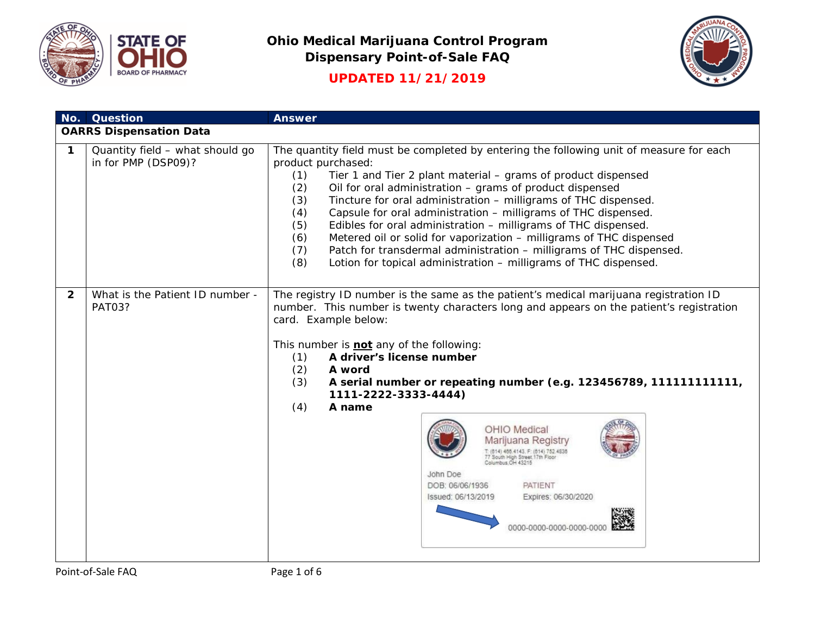



**UPDATED 11/21/2019**

|              | No. Question                                           | <b>Answer</b>                                                                                                                                                                                                                                                                                                                                                                                                                                                                                                                                                                                                                                                                                                               |  |
|--------------|--------------------------------------------------------|-----------------------------------------------------------------------------------------------------------------------------------------------------------------------------------------------------------------------------------------------------------------------------------------------------------------------------------------------------------------------------------------------------------------------------------------------------------------------------------------------------------------------------------------------------------------------------------------------------------------------------------------------------------------------------------------------------------------------------|--|
|              | <b>OARRS Dispensation Data</b>                         |                                                                                                                                                                                                                                                                                                                                                                                                                                                                                                                                                                                                                                                                                                                             |  |
| $\mathbf 1$  | Quantity field - what should go<br>in for PMP (DSP09)? | The quantity field must be completed by entering the following unit of measure for each<br>product purchased:<br>Tier 1 and Tier 2 plant material – grams of product dispensed<br>(1)<br>Oil for oral administration - grams of product dispensed<br>(2)<br>Tincture for oral administration - milligrams of THC dispensed.<br>(3)<br>Capsule for oral administration - milligrams of THC dispensed.<br>(4)<br>Edibles for oral administration - milligrams of THC dispensed.<br>(5)<br>Metered oil or solid for vaporization - milligrams of THC dispensed<br>(6)<br>Patch for transdermal administration - milligrams of THC dispensed.<br>(7)<br>(8)<br>Lotion for topical administration - milligrams of THC dispensed. |  |
| $\mathbf{2}$ | What is the Patient ID number -<br><b>PAT03?</b>       | The registry ID number is the same as the patient's medical marijuana registration ID<br>number. This number is twenty characters long and appears on the patient's registration<br>card. Example below:<br>This number is <b>not</b> any of the following:<br>A driver's license number<br>(1)<br>(2)<br>A word<br>(3)<br>A serial number or repeating number (e.g. 123456789, 111111111111,<br>1111-2222-3333-4444)<br>(4)<br>A name<br>OHIO Medical<br>Marijuana Registry<br>466 4143 F: (614) 752 4836<br>Columbus OH 43215<br>John Doe<br>PATIENT<br>DOB: 06/06/1936<br>Issued: 06/13/2019<br>Expires: 06/30/2020<br>0000-0000-0000-0000-001                                                                           |  |

Point-of-Sale FAQ Page 1 of 6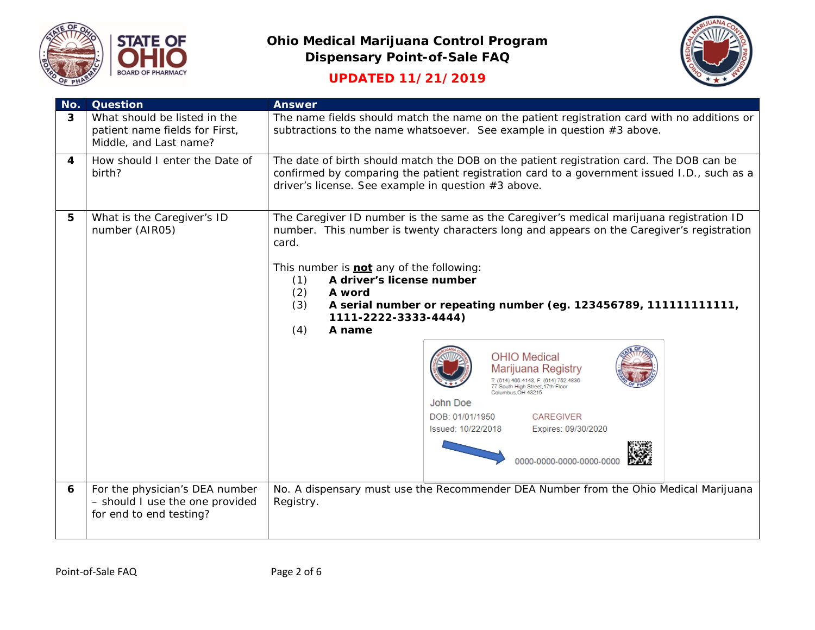



# **UPDATED 11/21/2019**

| No.                     | <b>Question</b>                                                                              | <b>Answer</b>                                                                                                                                                                                                                                                                                                                                                                                                                                                                                                                                                                                                                                                                                         |  |  |
|-------------------------|----------------------------------------------------------------------------------------------|-------------------------------------------------------------------------------------------------------------------------------------------------------------------------------------------------------------------------------------------------------------------------------------------------------------------------------------------------------------------------------------------------------------------------------------------------------------------------------------------------------------------------------------------------------------------------------------------------------------------------------------------------------------------------------------------------------|--|--|
| 3                       | What should be listed in the<br>patient name fields for First,<br>Middle, and Last name?     | The name fields should match the name on the patient registration card with no additions or<br>subtractions to the name whatsoever. See example in question $#3$ above.                                                                                                                                                                                                                                                                                                                                                                                                                                                                                                                               |  |  |
| $\overline{\mathbf{4}}$ | How should I enter the Date of<br>birth?                                                     | The date of birth should match the DOB on the patient registration card. The DOB can be<br>confirmed by comparing the patient registration card to a government issued I.D., such as a<br>driver's license. See example in question #3 above.                                                                                                                                                                                                                                                                                                                                                                                                                                                         |  |  |
| 5                       | What is the Caregiver's ID<br>number (AIR05)                                                 | The Caregiver ID number is the same as the Caregiver's medical marijuana registration ID<br>number. This number is twenty characters long and appears on the Caregiver's registration<br>card.<br>This number is <b>not</b> any of the following:<br>A driver's license number<br>(1)<br>(2)<br>A word<br>A serial number or repeating number (eg. 123456789, 111111111111,<br>(3)<br>1111-2222-3333-4444)<br>A name<br>(4)<br><b>OHIO Medical</b><br>Marijuana Registry<br>T: (614) 466.4143, F: (614) 752.4836<br>77 South High Street, 17th Floor<br>Columbus OH 43215<br>John Doe<br>DOB: 01/01/1950<br><b>CAREGIVER</b><br>Issued: 10/22/2018<br>Expires: 09/30/2020<br>0000-0000-0000-0000-0000 |  |  |
| 6                       | For the physician's DEA number<br>- should I use the one provided<br>for end to end testing? | No. A dispensary must use the Recommender DEA Number from the Ohio Medical Marijuana<br>Registry.                                                                                                                                                                                                                                                                                                                                                                                                                                                                                                                                                                                                     |  |  |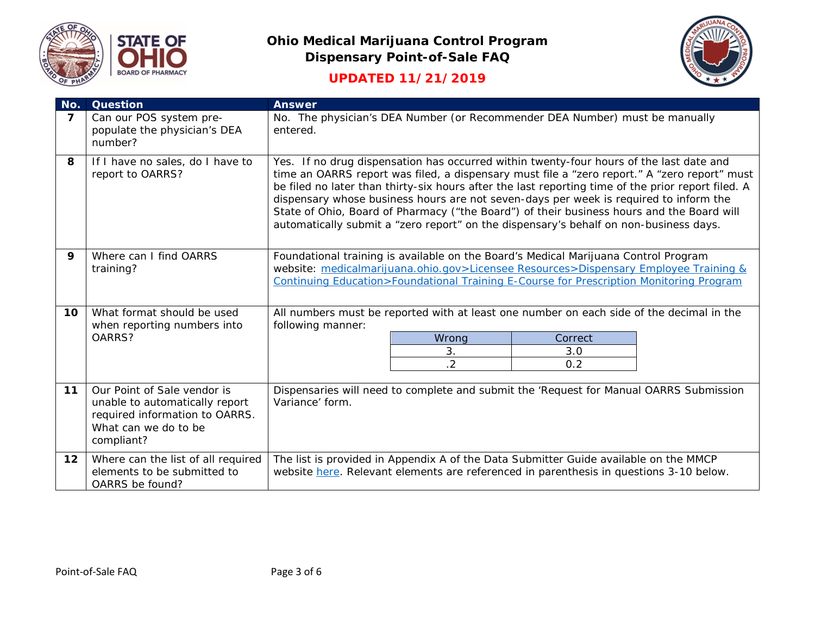



# **UPDATED 11/21/2019**

| No.             | <b>Question</b>                                                                                                                       | <b>Answer</b>                                                                                                                                                                                                                                                                                                                                                                                                                                                                                                                                                                |  |  |
|-----------------|---------------------------------------------------------------------------------------------------------------------------------------|------------------------------------------------------------------------------------------------------------------------------------------------------------------------------------------------------------------------------------------------------------------------------------------------------------------------------------------------------------------------------------------------------------------------------------------------------------------------------------------------------------------------------------------------------------------------------|--|--|
| $\overline{ }$  | Can our POS system pre-<br>populate the physician's DEA<br>number?                                                                    | No. The physician's DEA Number (or Recommender DEA Number) must be manually<br>entered.                                                                                                                                                                                                                                                                                                                                                                                                                                                                                      |  |  |
| 8               | If I have no sales, do I have to<br>report to OARRS?                                                                                  | Yes. If no drug dispensation has occurred within twenty-four hours of the last date and<br>time an OARRS report was filed, a dispensary must file a "zero report." A "zero report" must<br>be filed no later than thirty-six hours after the last reporting time of the prior report filed. A<br>dispensary whose business hours are not seven-days per week is required to inform the<br>State of Ohio, Board of Pharmacy ("the Board") of their business hours and the Board will<br>automatically submit a "zero report" on the dispensary's behalf on non-business days. |  |  |
| 9               | Where can I find OARRS<br>training?                                                                                                   | Foundational training is available on the Board's Medical Marijuana Control Program<br>website: medicalmarijuana.ohio.gov>Licensee Resources>Dispensary Employee Training &<br>Continuing Education>Foundational Training E-Course for Prescription Monitoring Program                                                                                                                                                                                                                                                                                                       |  |  |
| 10              | What format should be used<br>when reporting numbers into<br>OARRS?                                                                   | All numbers must be reported with at least one number on each side of the decimal in the<br>following manner:<br>Wrong<br>Correct<br>3.<br>3.0<br>$\overline{2}$<br>0.2                                                                                                                                                                                                                                                                                                                                                                                                      |  |  |
| $11$            | Our Point of Sale vendor is<br>unable to automatically report<br>required information to OARRS.<br>What can we do to be<br>compliant? | Dispensaries will need to complete and submit the 'Request for Manual OARRS Submission<br>Variance' form.                                                                                                                                                                                                                                                                                                                                                                                                                                                                    |  |  |
| 12 <sub>1</sub> | Where can the list of all required<br>elements to be submitted to<br>OARRS be found?                                                  | The list is provided in Appendix A of the Data Submitter Guide available on the MMCP<br>website here. Relevant elements are referenced in parenthesis in questions 3-10 below.                                                                                                                                                                                                                                                                                                                                                                                               |  |  |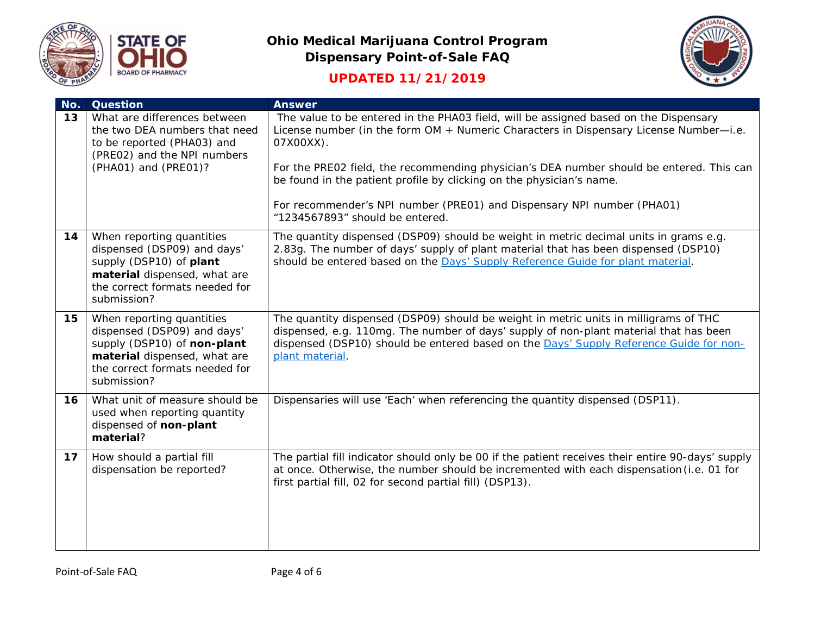





| No. | <b>Question</b>                                                                                                                                                          | <b>Answer</b>                                                                                                                                                                                                                                                                              |
|-----|--------------------------------------------------------------------------------------------------------------------------------------------------------------------------|--------------------------------------------------------------------------------------------------------------------------------------------------------------------------------------------------------------------------------------------------------------------------------------------|
| 13  | What are differences between<br>the two DEA numbers that need<br>to be reported (PHA03) and<br>(PRE02) and the NPI numbers<br>(PHA01) and (PRE01)?                       | The value to be entered in the PHA03 field, will be assigned based on the Dispensary<br>License number (in the form OM + Numeric Characters in Dispensary License Number-i.e.<br>07X00XX).<br>For the PRE02 field, the recommending physician's DEA number should be entered. This can     |
|     |                                                                                                                                                                          | be found in the patient profile by clicking on the physician's name.<br>For recommender's NPI number (PRE01) and Dispensary NPI number (PHA01)<br>"1234567893" should be entered.                                                                                                          |
| 14  | When reporting quantities<br>dispensed (DSP09) and days'<br>supply (DSP10) of plant<br>material dispensed, what are<br>the correct formats needed for<br>submission?     | The quantity dispensed (DSP09) should be weight in metric decimal units in grams e.g.<br>2.83g. The number of days' supply of plant material that has been dispensed (DSP10)<br>should be entered based on the Days' Supply Reference Guide for plant material.                            |
| 15  | When reporting quantities<br>dispensed (DSP09) and days'<br>supply (DSP10) of non-plant<br>material dispensed, what are<br>the correct formats needed for<br>submission? | The quantity dispensed (DSP09) should be weight in metric units in milligrams of THC<br>dispensed, e.g. 110mg. The number of days' supply of non-plant material that has been<br>dispensed (DSP10) should be entered based on the Days' Supply Reference Guide for non-<br>plant material. |
| 16  | What unit of measure should be<br>used when reporting quantity<br>dispensed of non-plant<br>material?                                                                    | Dispensaries will use 'Each' when referencing the quantity dispensed (DSP11).                                                                                                                                                                                                              |
| 17  | How should a partial fill<br>dispensation be reported?                                                                                                                   | The partial fill indicator should only be 00 if the patient receives their entire 90-days' supply<br>at once. Otherwise, the number should be incremented with each dispensation (i.e. 01 for<br>first partial fill, 02 for second partial fill) (DSP13).                                  |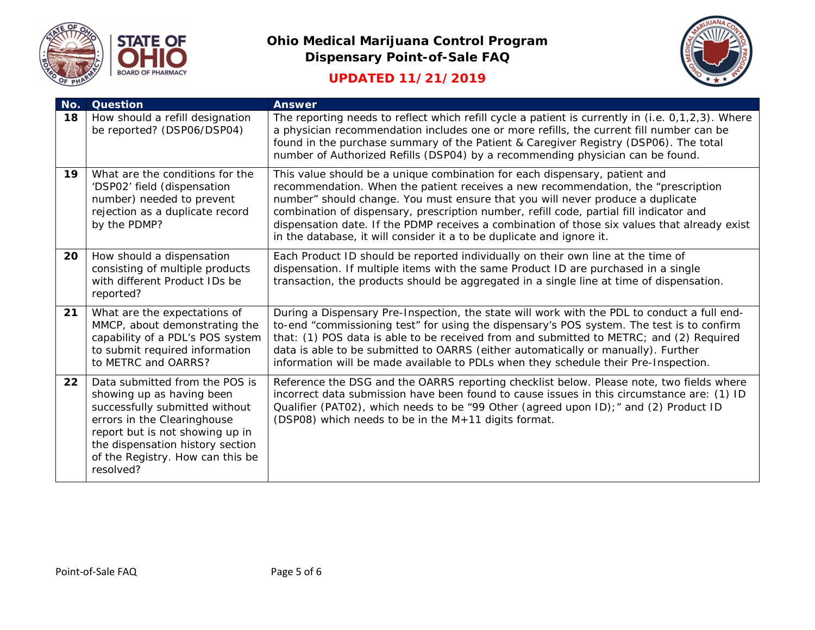

### **UPDATED 11/21/2019**



| No. | <b>Question</b>                                                                                                                                                                                                                                      | <b>Answer</b>                                                                                                                                                                                                                                                                                                                                                                                                                                                                                                         |
|-----|------------------------------------------------------------------------------------------------------------------------------------------------------------------------------------------------------------------------------------------------------|-----------------------------------------------------------------------------------------------------------------------------------------------------------------------------------------------------------------------------------------------------------------------------------------------------------------------------------------------------------------------------------------------------------------------------------------------------------------------------------------------------------------------|
| 18  | How should a refill designation<br>be reported? (DSP06/DSP04)                                                                                                                                                                                        | The reporting needs to reflect which refill cycle a patient is currently in (i.e. 0,1,2,3). Where<br>a physician recommendation includes one or more refills, the current fill number can be<br>found in the purchase summary of the Patient & Caregiver Registry (DSP06). The total<br>number of Authorized Refills (DSP04) by a recommending physician can be found.                                                                                                                                                |
| 19  | What are the conditions for the<br>'DSP02' field (dispensation<br>number) needed to prevent<br>rejection as a duplicate record<br>by the PDMP?                                                                                                       | This value should be a unique combination for each dispensary, patient and<br>recommendation. When the patient receives a new recommendation, the "prescription<br>number" should change. You must ensure that you will never produce a duplicate<br>combination of dispensary, prescription number, refill code, partial fill indicator and<br>dispensation date. If the PDMP receives a combination of those six values that already exist<br>in the database, it will consider it a to be duplicate and ignore it. |
| 20  | How should a dispensation<br>consisting of multiple products<br>with different Product IDs be<br>reported?                                                                                                                                           | Each Product ID should be reported individually on their own line at the time of<br>dispensation. If multiple items with the same Product ID are purchased in a single<br>transaction, the products should be aggregated in a single line at time of dispensation.                                                                                                                                                                                                                                                    |
| 21  | What are the expectations of<br>MMCP, about demonstrating the<br>capability of a PDL's POS system<br>to submit required information<br>to METRC and OARRS?                                                                                           | During a Dispensary Pre-Inspection, the state will work with the PDL to conduct a full end-<br>to-end "commissioning test" for using the dispensary's POS system. The test is to confirm<br>that: (1) POS data is able to be received from and submitted to METRC; and (2) Required<br>data is able to be submitted to OARRS (either automatically or manually). Further<br>information will be made available to PDLs when they schedule their Pre-Inspection.                                                       |
| 22  | Data submitted from the POS is<br>showing up as having been<br>successfully submitted without<br>errors in the Clearinghouse<br>report but is not showing up in<br>the dispensation history section<br>of the Registry. How can this be<br>resolved? | Reference the DSG and the OARRS reporting checklist below. Please note, two fields where<br>incorrect data submission have been found to cause issues in this circumstance are: (1) ID<br>Qualifier (PAT02), which needs to be "99 Other (agreed upon ID);" and (2) Product ID<br>(DSP08) which needs to be in the M+11 digits format.                                                                                                                                                                                |